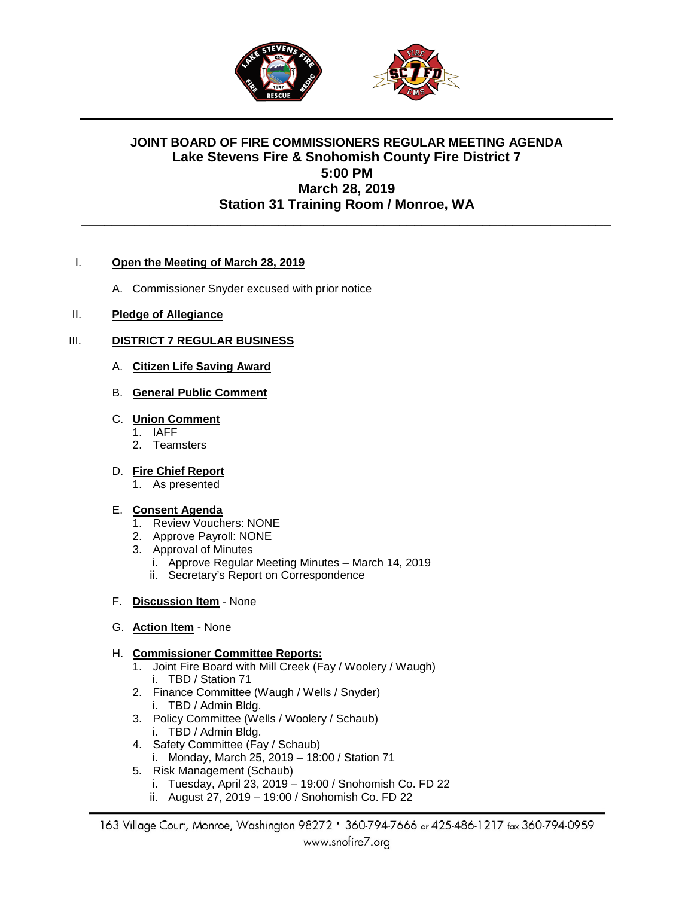

# **JOINT BOARD OF FIRE COMMISSIONERS REGULAR MEETING AGENDA Lake Stevens Fire & Snohomish County Fire District 7 5:00 PM March 28, 2019 Station 31 Training Room / Monroe, WA**

**\_\_\_\_\_\_\_\_\_\_\_\_\_\_\_\_\_\_\_\_\_\_\_\_\_\_\_\_\_\_\_\_\_\_\_\_\_\_\_\_\_\_\_\_\_\_\_\_\_\_\_\_\_\_\_\_\_\_\_\_\_\_\_\_\_\_\_\_\_\_**

### I. **Open the Meeting of March 28, 2019**

A. Commissioner Snyder excused with prior notice

### II. **Pledge of Allegiance**

### III. **DISTRICT 7 REGULAR BUSINESS**

A. **Citizen Life Saving Award**

## B. **General Public Comment**

### C. **Union Comment**

- 1. IAFF
- 2. Teamsters

# D. **Fire Chief Report**

1. As presented

### E. **Consent Agenda**

- 1. Review Vouchers: NONE
- 2. Approve Payroll: NONE
- 3. Approval of Minutes
	- i. Approve Regular Meeting Minutes March 14, 2019
	- ii. Secretary's Report on Correspondence
- F. **Discussion Item** None
- G. **Action Item** None

### H. **Commissioner Committee Reports:**

- 1. Joint Fire Board with Mill Creek (Fay / Woolery / Waugh) i. TBD / Station 71
- 2. Finance Committee (Waugh / Wells / Snyder) i. TBD / Admin Bldg.
- 3. Policy Committee (Wells / Woolery / Schaub) i. TBD / Admin Bldg.
- 4. Safety Committee (Fay / Schaub)
	- i. Monday, March 25, 2019 18:00 / Station 71
- 5. Risk Management (Schaub)
	- i. Tuesday, April 23, 2019 19:00 / Snohomish Co. FD 22
	- ii. August 27, 2019 19:00 / Snohomish Co. FD 22